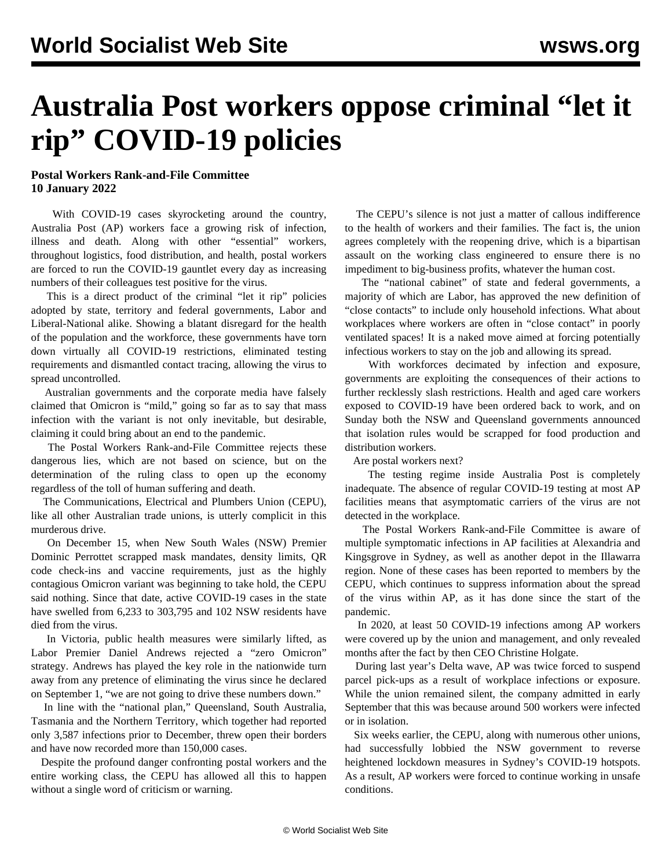## **Australia Post workers oppose criminal "let it rip" COVID-19 policies**

## **Postal Workers Rank-and-File Committee 10 January 2022**

 With COVID-19 cases skyrocketing around the country, Australia Post (AP) workers face a growing risk of infection, illness and death. Along with other "essential" workers, throughout logistics, food distribution, and health, postal workers are forced to run the COVID-19 gauntlet every day as increasing numbers of their colleagues test positive for the virus.

 This is a direct product of the criminal "let it rip" policies adopted by state, territory and federal governments, Labor and Liberal-National alike. Showing a blatant disregard for the health of the population and the workforce, these governments have torn down virtually all COVID-19 restrictions, eliminated testing requirements and dismantled contact tracing, allowing the virus to spread uncontrolled.

 Australian governments and the corporate media have falsely claimed that Omicron is "mild," going so far as to say that mass infection with the variant is not only inevitable, but desirable, claiming it could bring about an end to the pandemic.

 The Postal Workers Rank-and-File Committee rejects these dangerous lies, which are not based on science, but on the determination of the ruling class to open up the economy regardless of the toll of human suffering and death.

 The Communications, Electrical and Plumbers Union (CEPU), like all other Australian trade unions, is utterly complicit in this murderous drive.

 On December 15, when New South Wales (NSW) Premier Dominic Perrottet scrapped mask mandates, density limits, QR code check-ins and vaccine requirements, just as the highly contagious Omicron variant was beginning to take hold, the CEPU said nothing. Since that date, active COVID-19 cases in the state have swelled from 6,233 to 303,795 and 102 NSW residents have died from the virus.

 In Victoria, public health measures were similarly lifted, as Labor Premier Daniel Andrews rejected a "zero Omicron" strategy. Andrews has played the key role in the nationwide turn away from any pretence of eliminating the virus since he declared on September 1, "we are not going to drive these numbers down."

 In line with the "national plan," Queensland, South Australia, Tasmania and the Northern Territory, which together had reported only 3,587 infections prior to December, threw open their borders and have now recorded more than 150,000 cases.

 Despite the profound danger confronting postal workers and the entire working class, the CEPU has allowed all this to happen without a single word of criticism or warning.

 The CEPU's silence is not just a matter of callous indifference to the health of workers and their families. The fact is, the union agrees completely with the reopening drive, which is a bipartisan assault on the working class engineered to ensure there is no impediment to big-business profits, whatever the human cost.

 The "national cabinet" of state and federal governments, a majority of which are Labor, has approved the new definition of "close contacts" to include only household infections. What about workplaces where workers are often in "close contact" in poorly ventilated spaces! It is a naked move aimed at forcing potentially infectious workers to stay on the job and allowing its spread.

 With workforces decimated by infection and exposure, governments are exploiting the consequences of their actions to further recklessly slash restrictions. Health and aged care workers exposed to COVID-19 have been ordered back to work, and on Sunday both the NSW and Queensland governments announced that isolation rules would be scrapped for food production and distribution workers.

Are postal workers next?

 The testing regime inside Australia Post is completely inadequate. The absence of regular COVID-19 testing at most AP facilities means that asymptomatic carriers of the virus are not detected in the workplace.

 The Postal Workers Rank-and-File Committee is aware of multiple symptomatic infections in AP facilities at Alexandria and Kingsgrove in Sydney, as well as another depot in the Illawarra region. None of these cases has been reported to members by the CEPU, which continues to suppress information about the spread of the virus within AP, as it has done since the start of the pandemic.

 In 2020, at least 50 COVID-19 infections among AP workers were covered up by the union and management, and only revealed months after the fact by then CEO Christine Holgate.

 During last year's Delta wave, AP was twice forced to suspend parcel pick-ups as a result of workplace infections or exposure. While the union remained silent, the company admitted in early September that this was because around 500 workers were infected or in isolation.

 Six weeks earlier, the CEPU, along with numerous other unions, had successfully lobbied the NSW government to reverse heightened lockdown measures in Sydney's COVID-19 hotspots. As a result, AP workers were forced to continue working in unsafe conditions.